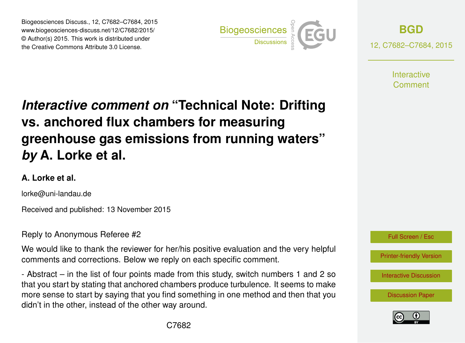Biogeosciences Discuss., 12, C7682–C7684, 2015 www.biogeosciences-discuss.net/12/C7682/2015/ © Author(s) 2015. This work is distributed under the Creative Commons Attribute 3.0 License.



**[BGD](http://www.biogeosciences-discuss.net)**

12, C7682–C7684, 2015

**Interactive** Comment

## *Interactive comment on* **"Technical Note: Drifting vs. anchored flux chambers for measuring greenhouse gas emissions from running waters"** *by* **A. Lorke et al.**

## **A. Lorke et al.**

lorke@uni-landau.de

Received and published: 13 November 2015

Reply to Anonymous Referee #2

We would like to thank the reviewer for her/his positive evaluation and the very helpful comments and corrections. Below we reply on each specific comment.

- Abstract – in the list of four points made from this study, switch numbers 1 and 2 so that you start by stating that anchored chambers produce turbulence. It seems to make more sense to start by saying that you find something in one method and then that you didn't in the other, instead of the other way around.



[Printer-friendly Version](http://www.biogeosciences-discuss.net/12/C7682/2015/bgd-12-C7682-2015-print.pdf)

[Interactive Discussion](http://www.biogeosciences-discuss.net/12/14619/2015/bgd-12-14619-2015-discussion.html)

[Discussion Paper](http://www.biogeosciences-discuss.net/12/14619/2015/bgd-12-14619-2015.pdf)

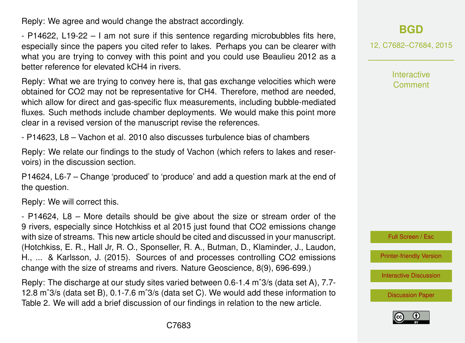Reply: We agree and would change the abstract accordingly.

- P14622, L19-22 – I am not sure if this sentence regarding microbubbles fits here, especially since the papers you cited refer to lakes. Perhaps you can be clearer with what you are trying to convey with this point and you could use Beaulieu 2012 as a better reference for elevated kCH4 in rivers.

Reply: What we are trying to convey here is, that gas exchange velocities which were obtained for CO2 may not be representative for CH4. Therefore, method are needed, which allow for direct and gas-specific flux measurements, including bubble-mediated fluxes. Such methods include chamber deployments. We would make this point more clear in a revised version of the manuscript revise the references.

- P14623, L8 – Vachon et al. 2010 also discusses turbulence bias of chambers

Reply: We relate our findings to the study of Vachon (which refers to lakes and reservoirs) in the discussion section.

P14624, L6-7 – Change 'produced' to 'produce' and add a question mark at the end of the question.

Reply: We will correct this.

- P14624, L8 – More details should be give about the size or stream order of the 9 rivers, especially since Hotchkiss et al 2015 just found that CO2 emissions change with size of streams. This new article should be cited and discussed in your manuscript. (Hotchkiss, E. R., Hall Jr, R. O., Sponseller, R. A., Butman, D., Klaminder, J., Laudon, H., ... & Karlsson, J. (2015). Sources of and processes controlling CO2 emissions change with the size of streams and rivers. Nature Geoscience, 8(9), 696-699.)

Reply: The discharge at our study sites varied between 0.6-1.4 mˆ3/s (data set A), 7.7- 12.8 mˆ3/s (data set B), 0.1-7.6 mˆ3/s (data set C). We would add these information to Table 2. We will add a brief discussion of our findings in relation to the new article.

## **[BGD](http://www.biogeosciences-discuss.net)**

12, C7682–C7684, 2015

**Interactive Comment** 



[Printer-friendly Version](http://www.biogeosciences-discuss.net/12/C7682/2015/bgd-12-C7682-2015-print.pdf)

[Interactive Discussion](http://www.biogeosciences-discuss.net/12/14619/2015/bgd-12-14619-2015-discussion.html)

[Discussion Paper](http://www.biogeosciences-discuss.net/12/14619/2015/bgd-12-14619-2015.pdf)